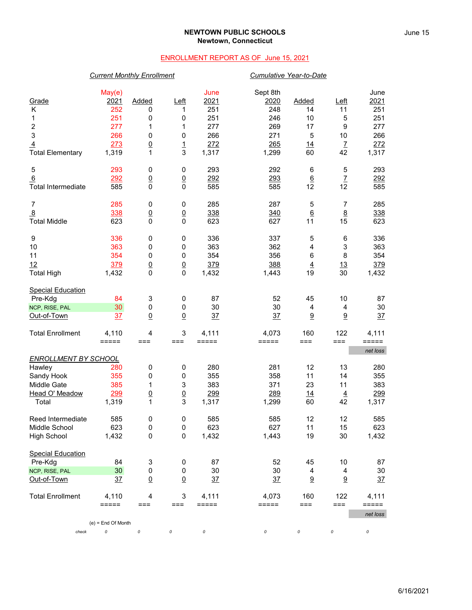### **NEWTOWN PUBLIC SCHOOLS Newtown, Connecticut**

## ENROLLMENT REPORT AS OF June 15, 2021

### *Current Monthly Enrollment Cumulative Year-to-Date*

| Grade                                     | May(e)<br>2021       | Added                           | $L$ eft                          | June<br>2021   | Sept 8th<br>2020 | <b>Added</b>    | $L$ eft                  | June<br>2021   |
|-------------------------------------------|----------------------|---------------------------------|----------------------------------|----------------|------------------|-----------------|--------------------------|----------------|
| Κ                                         | 252                  | 0                               | 1                                | 251            | 248              | 14              | 11                       | 251            |
| 1                                         | 251                  | 0                               | 0                                | 251            | 246              | 10              | 5                        | 251            |
| 2<br>3                                    | 277<br>266           | 1                               | 1                                | 277<br>266     | 269<br>271       | 17              | 9<br>10                  | 277<br>266     |
|                                           | 273                  | 0                               | 0                                | 272            | 265              | 5               |                          | 272            |
| $\overline{4}$<br><b>Total Elementary</b> | 1,319                | $\underline{0}$<br>$\mathbf{1}$ | $\overline{1}$<br>3              | 1,317          | 1,299            | 14<br>60        | $\overline{I}$<br>42     | 1,317          |
|                                           |                      |                                 |                                  |                |                  |                 |                          |                |
| 5                                         | 293                  | 0                               | 0                                | 293            | 292              | 6               | 5                        | 293            |
| 6                                         | 292                  | $\underline{0}$                 | $\underline{0}$                  | 292            | 293              | $6\phantom{.}6$ | $\underline{\mathsf{7}}$ | 292            |
| <b>Total Intermediate</b>                 | 585                  | $\mathbf 0$                     | $\mathbf 0$                      | 585            | 585              | 12              | 12                       | 585            |
| $\overline{7}$                            | 285                  | 0                               | 0                                | 285            | 287              | 5               | 7                        | 285            |
| $\overline{8}$                            | 338                  |                                 |                                  | 338            | 340              | $\underline{6}$ |                          | 338            |
| <b>Total Middle</b>                       | 623                  | $\overline{0}$<br>$\mathbf 0$   | $\underline{0}$<br>$\mathbf 0$   | 623            | 627              | 11              | 8<br>15                  | 623            |
|                                           |                      |                                 |                                  |                |                  |                 |                          |                |
| 9                                         | 336                  | 0                               | 0                                | 336            | 337              | 5               | $\,6$                    | 336            |
| 10                                        | 363                  | 0                               | 0                                | 363            | 362              | 4               | 3                        | 363            |
| 11                                        | 354                  | 0                               | 0                                | 354            | 356              | 6               | 8                        | 354            |
| 12                                        | 379                  | $\underline{0}$                 | $\underline{0}$                  | 379            | 388              | $\overline{4}$  | 13                       | 379            |
| <b>Total High</b>                         | 1,432                | 0                               | $\mathbf 0$                      | 1,432          | 1,443            | 19              | 30                       | 1,432          |
| <b>Special Education</b>                  |                      |                                 |                                  |                |                  |                 |                          |                |
| Pre-Kdg                                   | 84                   | 3                               | 0                                | 87             | 52               | 45              | 10                       | 87             |
| NCP, RISE, PAL                            | 30                   | 0                               | 0                                | 30             | 30               | 4               | 4                        | 30             |
| Out-of-Town                               | 37                   | $\overline{0}$                  | $\underline{0}$                  | 37             | 37               | $\underline{9}$ | 9                        | 37             |
| <b>Total Enrollment</b>                   | 4,110                | 4                               | 3                                | 4,111          | 4,073            | 160             | 122                      | 4,111          |
|                                           | $=====$              | $==$                            | ===                              | =====          | =====            | $==$            | $==$                     | =====          |
|                                           |                      |                                 |                                  |                |                  |                 |                          | net loss       |
| <b>ENROLLMENT BY SCHOOL</b>               |                      |                                 |                                  |                |                  |                 |                          |                |
| Hawley                                    | 280                  | 0                               | 0                                | 280            | 281              | 12              | 13                       | 280            |
| Sandy Hook                                | 355                  | 0                               | 0                                | 355            | 358              | 11              | 14                       | 355            |
| Middle Gate                               | 385                  | 1                               | 3                                | 383            | 371              | 23              | 11                       | 383            |
| Head O' Meadow                            | 299                  | $\underline{0}$                 | $\underline{0}$                  | 299            | 289              | <u>14</u>       | $\overline{4}$           | 299            |
| Total                                     | 1,319                | 1                               | $\sqrt{3}$                       | 1,317          | 1,299            | 60              | 42                       | 1,317          |
| Reed Intermediate                         | 585                  | 0                               | 0                                | 585            | 585              | 12              | 12                       | 585            |
| Middle School                             | 623                  | 0                               | $\mathbf 0$                      | 623            | 627              | 11              | 15                       | 623            |
| <b>High School</b>                        | 1,432                | $\pmb{0}$                       | $\pmb{0}$                        | 1,432          | 1,443            | 19              | 30                       | 1,432          |
| <b>Special Education</b>                  |                      |                                 |                                  |                |                  |                 |                          |                |
| Pre-Kdg                                   | 84                   | 3                               | 0                                | 87             | 52               | 45              | 10                       | 87             |
| NCP, RISE, PAL                            | 30 <sub>2</sub>      | $\pmb{0}$                       | 0                                | 30             | 30               | 4               | $\overline{4}$           | $30\,$         |
| Out-of-Town                               | 37                   | $\overline{0}$                  | $\underline{0}$                  | 37             | 37               | 9               | 9                        | 37             |
|                                           |                      |                                 |                                  |                |                  |                 |                          |                |
| <b>Total Enrollment</b>                   | 4,110<br>$=====$     | 4<br>$==$                       | $\ensuremath{\mathsf{3}}$<br>=== | 4,111<br>===== | 4,073<br>=====   | 160<br>$==$     | 122<br>$===$             | 4,111<br>===== |
|                                           |                      |                                 |                                  |                |                  |                 |                          | net loss       |
|                                           | $(e)$ = End Of Month |                                 |                                  |                |                  |                 |                          |                |
| check                                     | 0                    | 0                               | 0                                | 0              | 0                | 0               | 0                        | 0              |